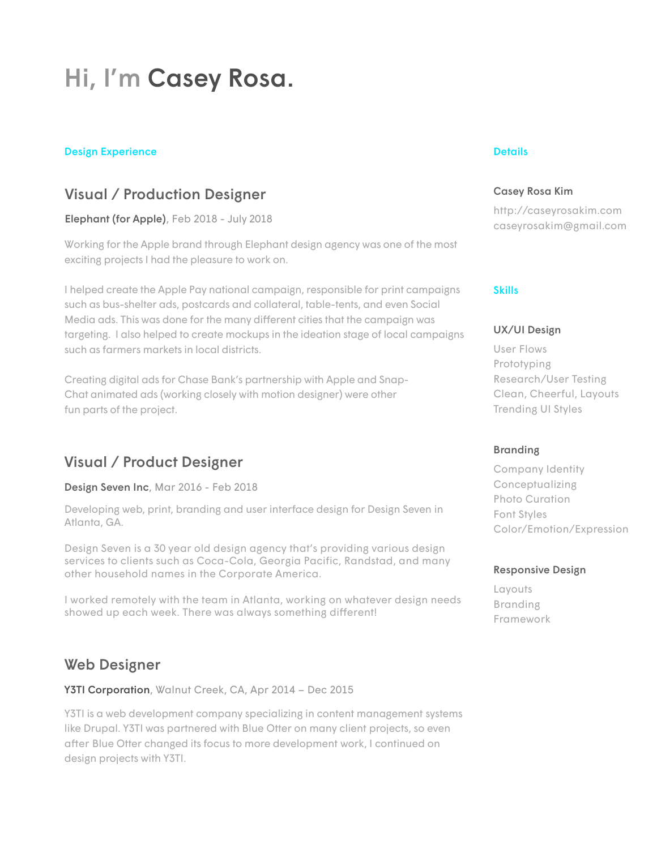# Hi, I'm Casey Rosa.

#### Design Experience Design Experience Details and Details and Details and Details and Details and Details are provided by the Details and Details are provided by the Details and Details are provided by the Details and Detail

### Visual / Production Designer

Elephant (for Apple), Feb 2018 - July 2018

Working for the Apple brand through Elephant design agency was one of the most exciting projects I had the pleasure to work on.

I helped create the Apple Pay national campaign, responsible for print campaigns such as bus-shelter ads, postcards and collateral, table-tents, and even Social Media ads. This was done for the many different cities that the campaign was targeting. I also helped to create mockups in the ideation stage of local campaigns such as farmers markets in local districts.

Creating digital ads for Chase Bank's partnership with Apple and Snap-Chat animated ads (working closely with motion designer) were other fun parts of the project.

### Visual / Product Designer

Design Seven Inc, Mar 2016 - Feb 2018

Developing web, print, branding and user interface design for Design Seven in Atlanta, GA.

Design Seven is a 30 year old design agency that's providing various design services to clients such as Coca-Cola, Georgia Pacific, Randstad, and many other household names in the Corporate America.

I worked remotely with the team in Atlanta, working on whatever design needs showed up each week. There was always something different!

### Web Designer

Y3TI Corporation, Walnut Creek, CA, Apr 2014 - Dec 2015

Y3TI is a web development company specializing in content management systems like Drupal. Y3TI was partnered with Blue Otter on many client projects, so even after Blue Otter changed its focus to more development work, I continued on design projects with Y3TI.

#### Casey Rosa Kim

http://caseyrosakim.com caseyrosakim@gmail.com

#### Skills

#### UX/UI Design

User Flows Prototyping Research/User Testing Clean, Cheerful, Layouts Trending UI Styles

#### **Branding**

Company Identity Conceptualizing Photo Curation Font Styles Color/Emotion/Expression

#### Responsive Design

Layouts Branding Framework